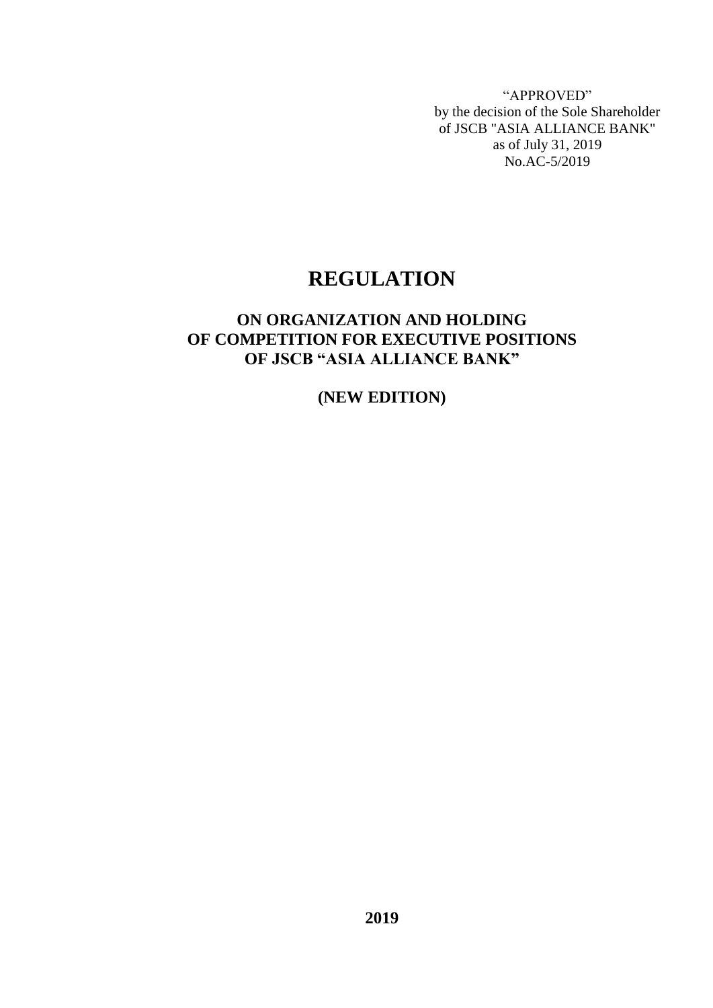"APPROVED" by the decision of the Sole Shareholder of JSCB "ASIA ALLIANCE BANK" as of July 31, 2019 No.AC-5/2019

## **REGULATION**

## **ON ORGANIZATION AND HOLDING OF COMPETITION FOR EXECUTIVE POSITIONS OF JSCB "ASIA ALLIANCE BANK"**

## **(NEW EDITION)**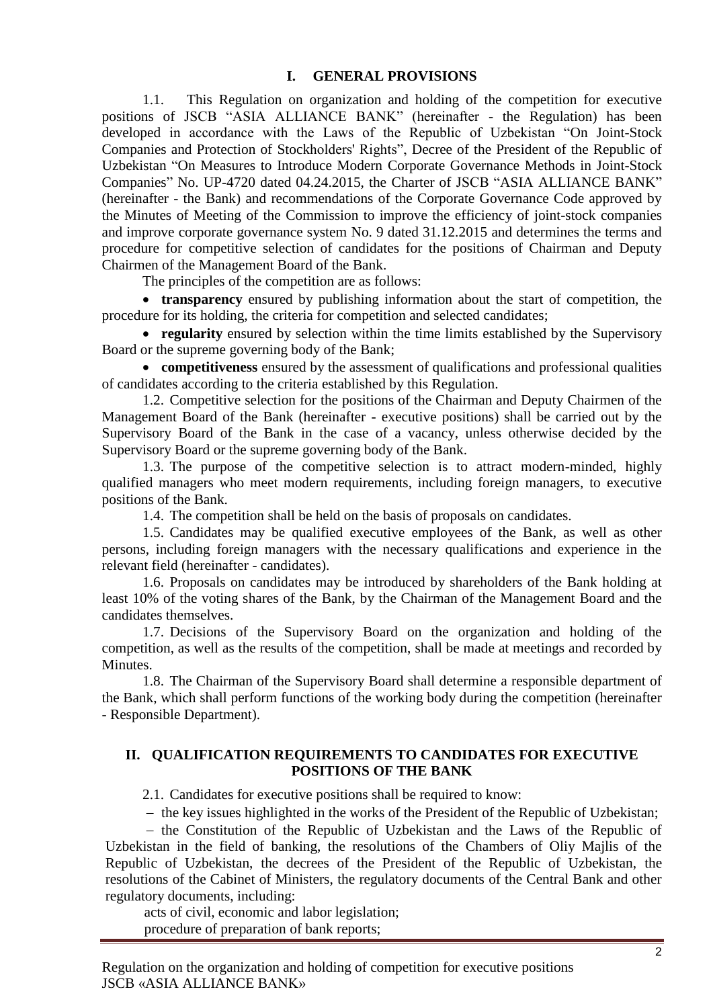#### **I. GENERAL PROVISIONS**

1.1. This Regulation on organization and holding of the competition for executive positions of JSCB "ASIA ALLIANCE BANK" (hereinafter - the Regulation) has been developed in accordance with the Laws of the Republic of Uzbekistan "On Joint-Stock Companies and Protection of Stockholders' Rights", Decree of the President of the Republic of Uzbekistan "On Measures to Introduce Modern Corporate Governance Methods in Joint-Stock Companies" No. UP-4720 dated 04.24.2015, the Charter of JSCB "ASIA ALLIANCE BANK" (hereinafter - the Bank) and recommendations of the Corporate Governance Code approved by the Minutes of Meeting of the Commission to improve the efficiency of joint-stock companies and improve corporate governance system No. 9 dated 31.12.2015 and determines the terms and procedure for competitive selection of candidates for the positions of Chairman and Deputy Chairmen of the Management Board of the Bank.

The principles of the competition are as follows:

• **transparency** ensured by publishing information about the start of competition, the procedure for its holding, the criteria for competition and selected candidates;

 **regularity** ensured by selection within the time limits established by the Supervisory Board or the supreme governing body of the Bank;

 **competitiveness** ensured by the assessment of qualifications and professional qualities of candidates according to the criteria established by this Regulation.

1.2. Competitive selection for the positions of the Chairman and Deputy Chairmen of the Management Board of the Bank (hereinafter - executive positions) shall be carried out by the Supervisory Board of the Bank in the case of a vacancy, unless otherwise decided by the Supervisory Board or the supreme governing body of the Bank.

1.3. The purpose of the competitive selection is to attract modern-minded, highly qualified managers who meet modern requirements, including foreign managers, to executive positions of the Bank.

1.4. The competition shall be held on the basis of proposals on candidates.

1.5. Candidates may be qualified executive employees of the Bank, as well as other persons, including foreign managers with the necessary qualifications and experience in the relevant field (hereinafter - candidates).

1.6. Proposals on candidates may be introduced by shareholders of the Bank holding at least 10% of the voting shares of the Bank, by the Chairman of the Management Board and the candidates themselves.

1.7. Decisions of the Supervisory Board on the organization and holding of the competition, as well as the results of the competition, shall be made at meetings and recorded by Minutes.

1.8. The Chairman of the Supervisory Board shall determine a responsible department of the Bank, which shall perform functions of the working body during the competition (hereinafter - Responsible Department).

#### **II. QUALIFICATION REQUIREMENTS TO CANDIDATES FOR EXECUTIVE POSITIONS OF THE BANK**

2.1. Candidates for executive positions shall be required to know:

 $-$  the key issues highlighted in the works of the President of the Republic of Uzbekistan;

 $-$  the Constitution of the Republic of Uzbekistan and the Laws of the Republic of Uzbekistan in the field of banking, the resolutions of the Chambers of Oliy Majlis of the Republic of Uzbekistan, the decrees of the President of the Republic of Uzbekistan, the resolutions of the Cabinet of Ministers, the regulatory documents of the Central Bank and other regulatory documents, including:

acts of civil, economic and labor legislation; procedure of preparation of bank reports;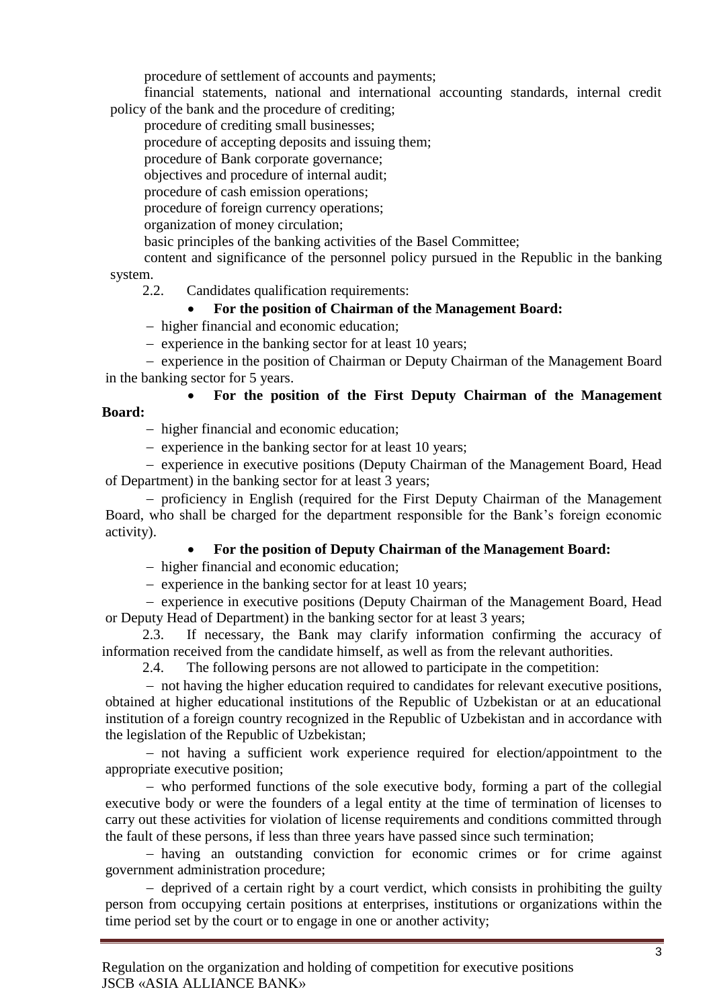procedure of settlement of accounts and payments;

financial statements, national and international accounting standards, internal credit policy of the bank and the procedure of crediting;

procedure of crediting small businesses;

procedure of accepting deposits and issuing them;

procedure of Bank corporate governance;

objectives and procedure of internal audit;

procedure of cash emission operations;

procedure of foreign currency operations;

organization of money circulation;

basic principles of the banking activities of the Basel Committee;

content and significance of the personnel policy pursued in the Republic in the banking system.

2.2. Candidates qualification requirements:

## **For the position of Chairman of the Management Board:**

- higher financial and economic education;

- experience in the banking sector for at least 10 years;

- experience in the position of Chairman or Deputy Chairman of the Management Board in the banking sector for 5 years.

#### **For the position of the First Deputy Chairman of the Management Board:**

- higher financial and economic education;

 $-$  experience in the banking sector for at least 10 years;

- experience in executive positions (Deputy Chairman of the Management Board, Head of Department) in the banking sector for at least 3 years;

 proficiency in English (required for the First Deputy Chairman of the Management Board, who shall be charged for the department responsible for the Bank's foreign economic activity).

## **For the position of Deputy Chairman of the Management Board:**

- higher financial and economic education;

 $\overline{e}$  = experience in the banking sector for at least 10 years;

- experience in executive positions (Deputy Chairman of the Management Board, Head or Deputy Head of Department) in the banking sector for at least 3 years;

2.3. If necessary, the Bank may clarify information confirming the accuracy of information received from the candidate himself, as well as from the relevant authorities.

2.4. The following persons are not allowed to participate in the competition:

- not having the higher education required to candidates for relevant executive positions, obtained at higher educational institutions of the Republic of Uzbekistan or at an educational institution of a foreign country recognized in the Republic of Uzbekistan and in accordance with the legislation of the Republic of Uzbekistan;

 not having a sufficient work experience required for election/appointment to the appropriate executive position;

 who performed functions of the sole executive body, forming a part of the collegial executive body or were the founders of a legal entity at the time of termination of licenses to carry out these activities for violation of license requirements and conditions committed through the fault of these persons, if less than three years have passed since such termination;

 having an outstanding conviction for economic crimes or for crime against government administration procedure;

 $\theta$  deprived of a certain right by a court verdict, which consists in prohibiting the guilty person from occupying certain positions at enterprises, institutions or organizations within the time period set by the court or to engage in one or another activity;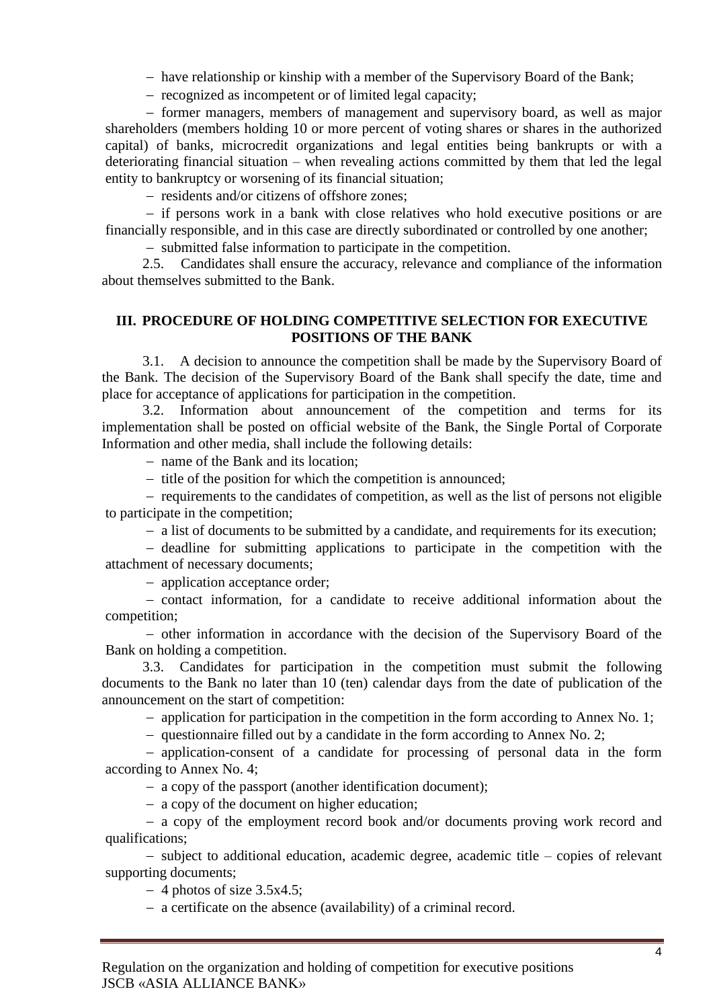$heta$  have relationship or kinship with a member of the Supervisory Board of the Bank;

 $-$  recognized as incompetent or of limited legal capacity;

 former managers, members of management and supervisory board, as well as major shareholders (members holding 10 or more percent of voting shares or shares in the authorized capital) of banks, microcredit organizations and legal entities being bankrupts or with a deteriorating financial situation – when revealing actions committed by them that led the legal entity to bankruptcy or worsening of its financial situation;

- residents and/or citizens of offshore zones;

- if persons work in a bank with close relatives who hold executive positions or are financially responsible, and in this case are directly subordinated or controlled by one another;

- submitted false information to participate in the competition.

2.5. Candidates shall ensure the accuracy, relevance and compliance of the information about themselves submitted to the Bank.

#### **III. PROCEDURE OF HOLDING COMPETITIVE SELECTION FOR EXECUTIVE POSITIONS OF THE BANK**

3.1. A decision to announce the competition shall be made by the Supervisory Board of the Bank. The decision of the Supervisory Board of the Bank shall specify the date, time and place for acceptance of applications for participation in the competition.

3.2. Information about announcement of the competition and terms for its implementation shall be posted on official website of the Bank, the Single Portal of Corporate Information and other media, shall include the following details:

- name of the Bank and its location:

 $-$  title of the position for which the competition is announced;

 $-$  requirements to the candidates of competition, as well as the list of persons not eligible to participate in the competition;

a list of documents to be submitted by a candidate, and requirements for its execution;

 $-\theta$  deadline for submitting applications to participate in the competition with the attachment of necessary documents;

- application acceptance order;

- contact information, for a candidate to receive additional information about the competition;

 other information in accordance with the decision of the Supervisory Board of the Bank on holding a competition.

3.3. Candidates for participation in the competition must submit the following documents to the Bank no later than 10 (ten) calendar days from the date of publication of the announcement on the start of competition:

 $-$  application for participation in the competition in the form according to Annex No. 1;

 $-$  questionnaire filled out by a candidate in the form according to Annex No. 2;

 application-consent of a candidate for processing of personal data in the form according to Annex No. 4;

a copy of the passport (another identification document);

a copy of the document on higher education;

 a copy of the employment record book and/or documents proving work record and qualifications;

 $-$  subject to additional education, academic degree, academic title  $-$  copies of relevant supporting documents;

 $-4$  photos of size 3.5x4.5;

a certificate on the absence (availability) of a criminal record.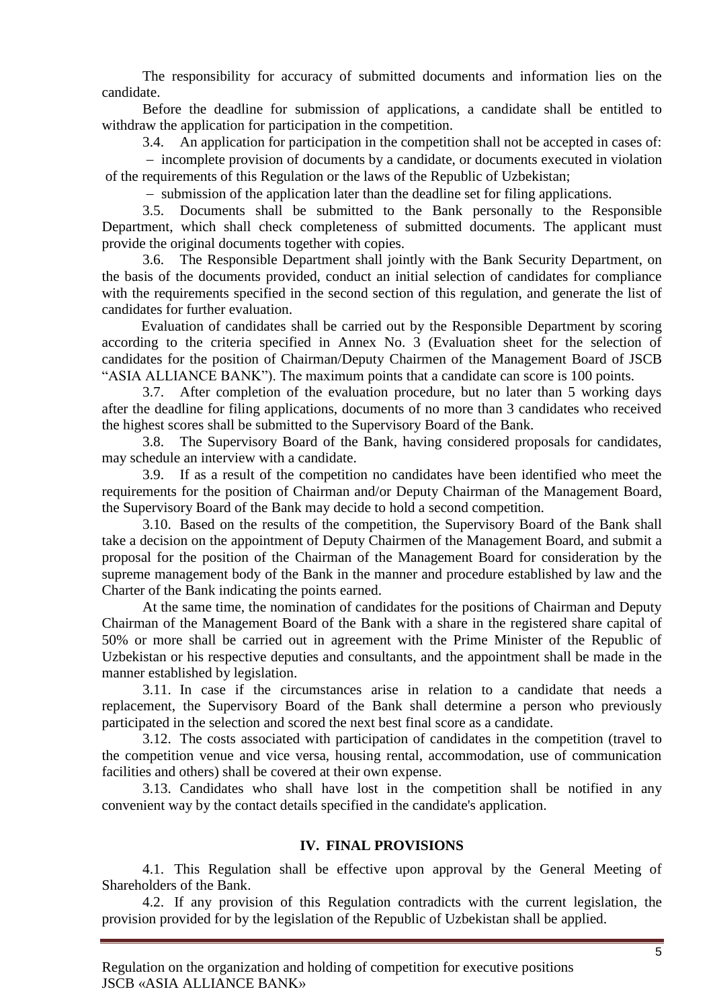The responsibility for accuracy of submitted documents and information lies on the candidate.

Before the deadline for submission of applications, a candidate shall be entitled to withdraw the application for participation in the competition.

3.4. An application for participation in the competition shall not be accepted in cases of:

- incomplete provision of documents by a candidate, or documents executed in violation of the requirements of this Regulation or the laws of the Republic of Uzbekistan;

- submission of the application later than the deadline set for filing applications.

3.5. Documents shall be submitted to the Bank personally to the Responsible Department, which shall check completeness of submitted documents. The applicant must provide the original documents together with copies.

3.6. The Responsible Department shall jointly with the Bank Security Department, on the basis of the documents provided, conduct an initial selection of candidates for compliance with the requirements specified in the second section of this regulation, and generate the list of candidates for further evaluation.

Evaluation of candidates shall be carried out by the Responsible Department by scoring according to the criteria specified in Annex No. 3 (Evaluation sheet for the selection of candidates for the position of Chairman/Deputy Chairmen of the Management Board of JSCB "ASIA ALLIANCE BANK"). The maximum points that a candidate can score is 100 points.

3.7. After completion of the evaluation procedure, but no later than 5 working days after the deadline for filing applications, documents of no more than 3 candidates who received the highest scores shall be submitted to the Supervisory Board of the Bank.

3.8. The Supervisory Board of the Bank, having considered proposals for candidates, may schedule an interview with a candidate.

3.9. If as a result of the competition no candidates have been identified who meet the requirements for the position of Chairman and/or Deputy Chairman of the Management Board, the Supervisory Board of the Bank may decide to hold a second competition.

3.10. Based on the results of the competition, the Supervisory Board of the Bank shall take a decision on the appointment of Deputy Chairmen of the Management Board, and submit a proposal for the position of the Chairman of the Management Board for consideration by the supreme management body of the Bank in the manner and procedure established by law and the Charter of the Bank indicating the points earned.

At the same time, the nomination of candidates for the positions of Chairman and Deputy Chairman of the Management Board of the Bank with a share in the registered share capital of 50% or more shall be carried out in agreement with the Prime Minister of the Republic of Uzbekistan or his respective deputies and consultants, and the appointment shall be made in the manner established by legislation.

3.11. In case if the circumstances arise in relation to a candidate that needs a replacement, the Supervisory Board of the Bank shall determine a person who previously participated in the selection and scored the next best final score as a candidate.

3.12. The costs associated with participation of candidates in the competition (travel to the competition venue and vice versa, housing rental, accommodation, use of communication facilities and others) shall be covered at their own expense.

3.13. Candidates who shall have lost in the competition shall be notified in any convenient way by the contact details specified in the candidate's application.

#### **IV. FINAL PROVISIONS**

4.1. This Regulation shall be effective upon approval by the General Meeting of Shareholders of the Bank.

4.2. If any provision of this Regulation contradicts with the current legislation, the provision provided for by the legislation of the Republic of Uzbekistan shall be applied.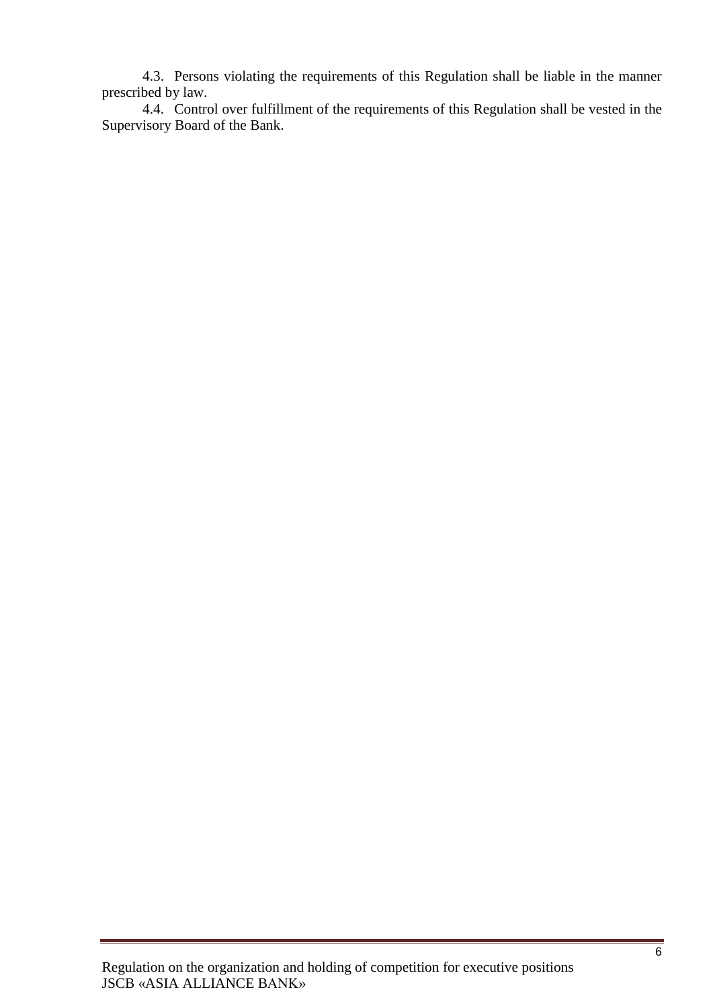4.3. Persons violating the requirements of this Regulation shall be liable in the manner prescribed by law.

4.4. Control over fulfillment of the requirements of this Regulation shall be vested in the Supervisory Board of the Bank.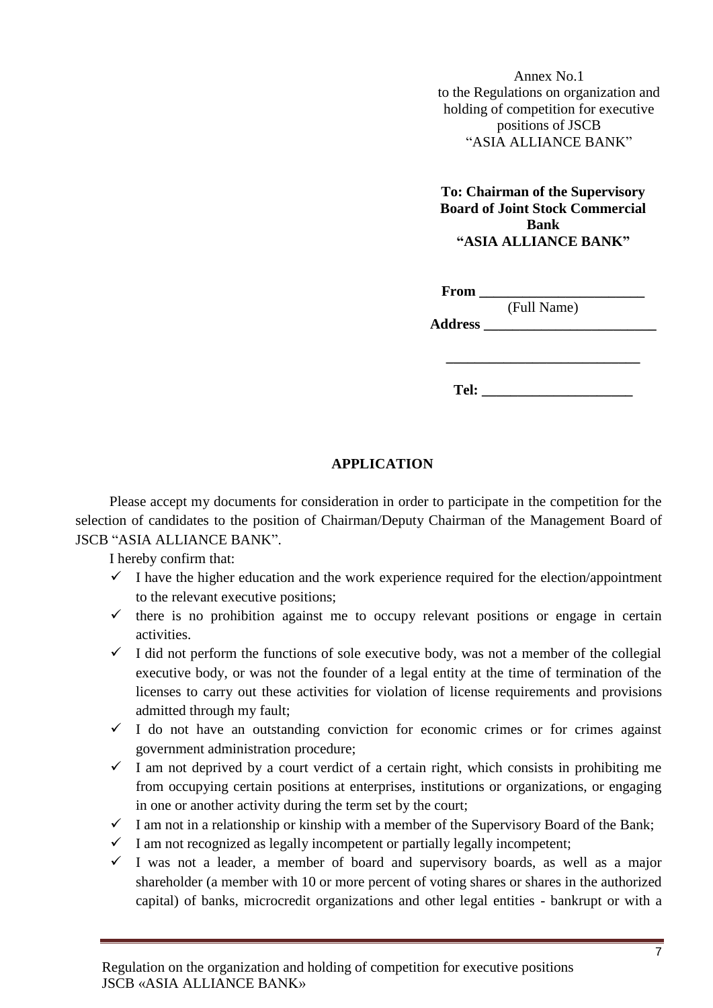Annex No.1 to the Regulations on organization and holding of competition for executive positions of JSCB "ASIA ALLIANCE BANK"

**To: Chairman of the Supervisory Board of Joint Stock Commercial Bank "ASIA ALLIANCE BANK"**

| From           |             |  |
|----------------|-------------|--|
|                | (Full Name) |  |
| <b>Address</b> |             |  |

**Tel: \_\_\_\_\_\_\_\_\_\_\_\_\_\_\_\_\_\_\_\_\_**

**\_\_\_\_\_\_\_\_\_\_\_\_\_\_\_\_\_\_\_\_\_\_\_\_\_\_\_**

## **APPLICATION**

Please accept my documents for consideration in order to participate in the competition for the selection of candidates to the position of Chairman/Deputy Chairman of the Management Board of JSCB "ASIA ALLIANCE BANK".

I hereby confirm that:

- $\checkmark$  I have the higher education and the work experience required for the election/appointment to the relevant executive positions;
- $\checkmark$  there is no prohibition against me to occupy relevant positions or engage in certain activities.
- $\checkmark$  I did not perform the functions of sole executive body, was not a member of the collegial executive body, or was not the founder of a legal entity at the time of termination of the licenses to carry out these activities for violation of license requirements and provisions admitted through my fault;
- $\checkmark$  I do not have an outstanding conviction for economic crimes or for crimes against government administration procedure;
- $\checkmark$  I am not deprived by a court verdict of a certain right, which consists in prohibiting me from occupying certain positions at enterprises, institutions or organizations, or engaging in one or another activity during the term set by the court;
- $\checkmark$  I am not in a relationship or kinship with a member of the Supervisory Board of the Bank;
- $\checkmark$  I am not recognized as legally incompetent or partially legally incompetent;
- $\checkmark$  I was not a leader, a member of board and supervisory boards, as well as a major shareholder (a member with 10 or more percent of voting shares or shares in the authorized capital) of banks, microcredit organizations and other legal entities - bankrupt or with a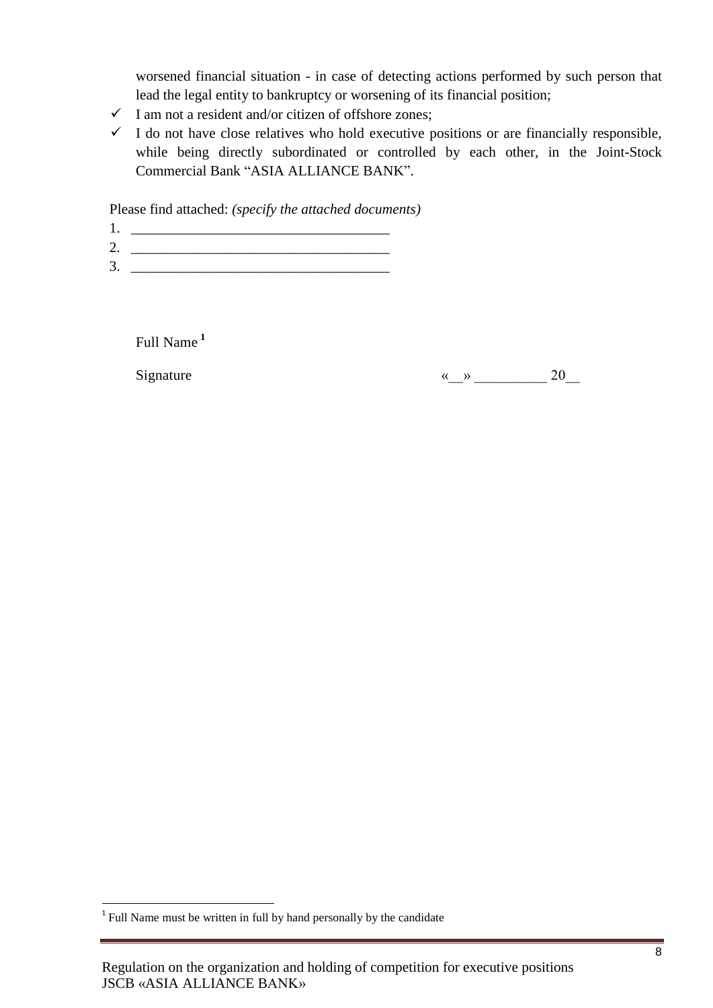worsened financial situation - in case of detecting actions performed by such person that lead the legal entity to bankruptcy or worsening of its financial position;

- $\checkmark$  I am not a resident and/or citizen of offshore zones;
- $\checkmark$  I do not have close relatives who hold executive positions or are financially responsible, while being directly subordinated or controlled by each other, in the Joint-Stock Commercial Bank "ASIA ALLIANCE BANK".

Please find attached: *(specify the attached documents)*

- $1.$
- 2. \_\_\_\_\_\_\_\_\_\_\_\_\_\_\_\_\_\_\_\_\_\_\_\_\_\_\_\_\_\_\_\_\_\_\_\_  $3.$

Full Name **<sup>1</sup>**

Signature  $\qquad \qquad \qquad \text{8.20}$ 

The same must be written in full by hand personally by the candidate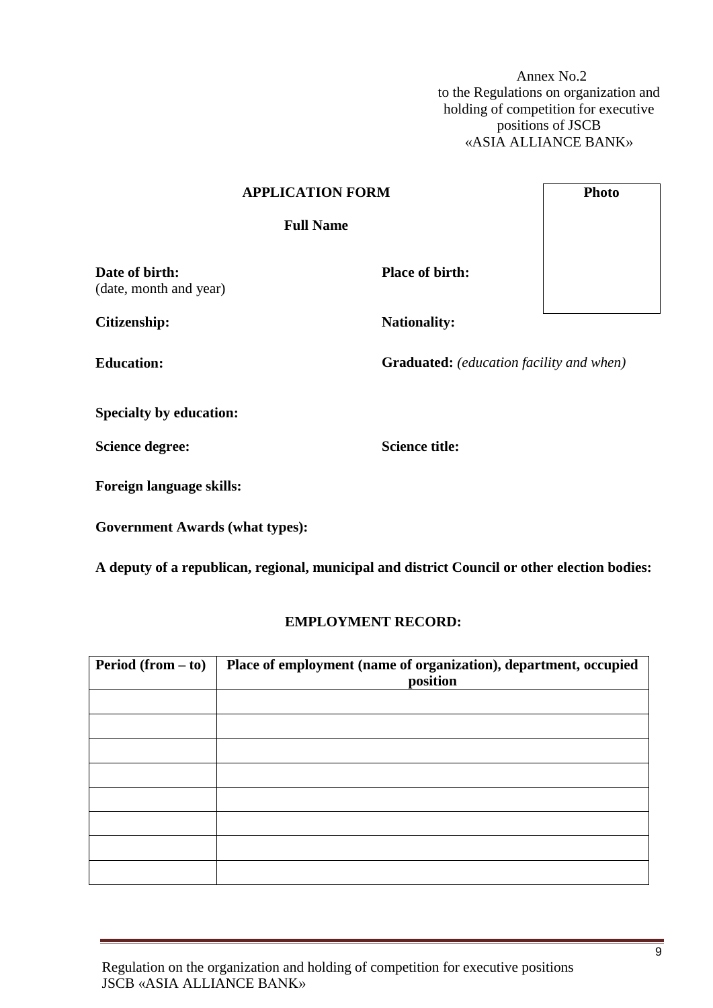Annex No.2 to the Regulations on organization and holding of competition for executive positions of JSCB «ASIA ALLIANCE BANK»

# **APPLICATION FORM Full Name** (date, month and year) **Place of birth:**



**Citizenship: Nationality: Nationality:** 

**Date of birth:**

**Education: Graduated:** *(education facility and when)* 

**Specialty by education:**

**Science degree: Science title:** 

**Foreign language skills:**

**Government Awards (what types):**

**A deputy of a republican, regional, municipal and district Council or other election bodies:**

#### **EMPLOYMENT RECORD:**

| <b>Period</b> (from $-$ to) | Place of employment (name of organization), department, occupied<br>position |
|-----------------------------|------------------------------------------------------------------------------|
|                             |                                                                              |
|                             |                                                                              |
|                             |                                                                              |
|                             |                                                                              |
|                             |                                                                              |
|                             |                                                                              |
|                             |                                                                              |
|                             |                                                                              |

Regulation on the organization and holding of competition for executive positions JSCB «ASIA ALLIANCE BANK»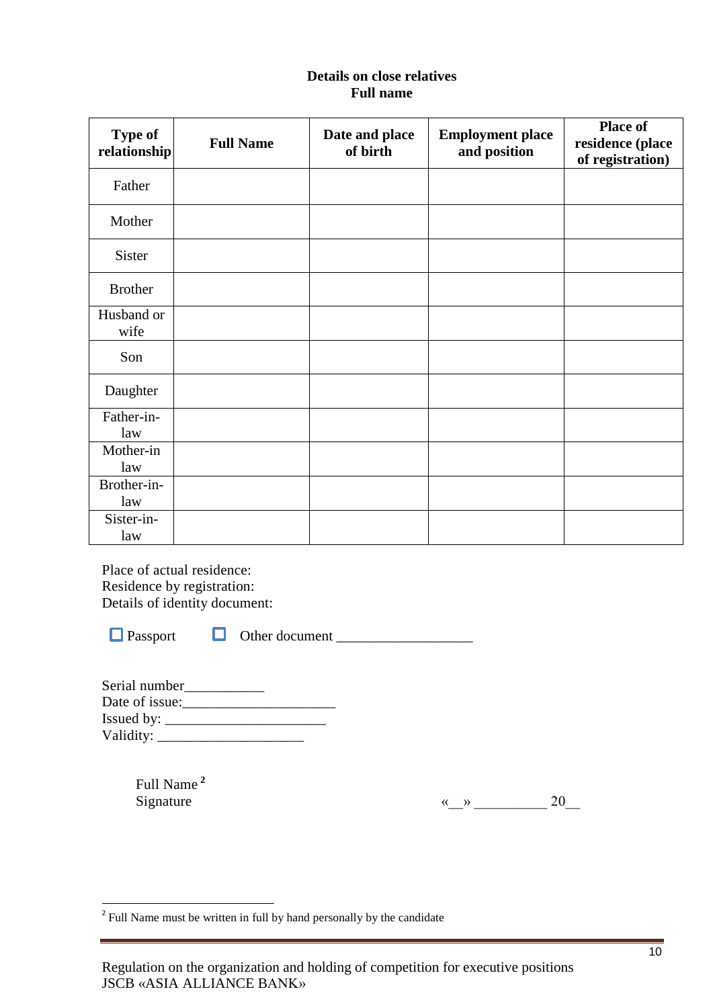### **Details on close relatives Full name**

| <b>Type of</b><br>relationship | <b>Full Name</b> | Date and place<br>of birth | <b>Employment place</b><br>and position | <b>Place of</b><br>residence (place<br>of registration) |
|--------------------------------|------------------|----------------------------|-----------------------------------------|---------------------------------------------------------|
| Father                         |                  |                            |                                         |                                                         |
| Mother                         |                  |                            |                                         |                                                         |
| Sister                         |                  |                            |                                         |                                                         |
| <b>Brother</b>                 |                  |                            |                                         |                                                         |
| Husband or<br>wife             |                  |                            |                                         |                                                         |
| Son                            |                  |                            |                                         |                                                         |
| Daughter                       |                  |                            |                                         |                                                         |
| Father-in-<br>law              |                  |                            |                                         |                                                         |
| Mother-in<br>law               |                  |                            |                                         |                                                         |
| Brother-in-<br>law             |                  |                            |                                         |                                                         |
| Sister-in-<br>law              |                  |                            |                                         |                                                         |

Place of actual residence: Residence by registration: Details of identity document:

 $\Box$  Passport  $\Box$  Other document  $\Box$ 

| Serial number      |  |
|--------------------|--|
| Date of issue:     |  |
| Issued by: $\_\_$  |  |
| Validity: ________ |  |

Full Name **<sup>2</sup>**

Signature  $\qquad \qquad \qquad \text{``\qquad \qquad } 20 \qquad \qquad 20$ 

<sup>&</sup>lt;sup>2</sup> Full Name must be written in full by hand personally by the candidate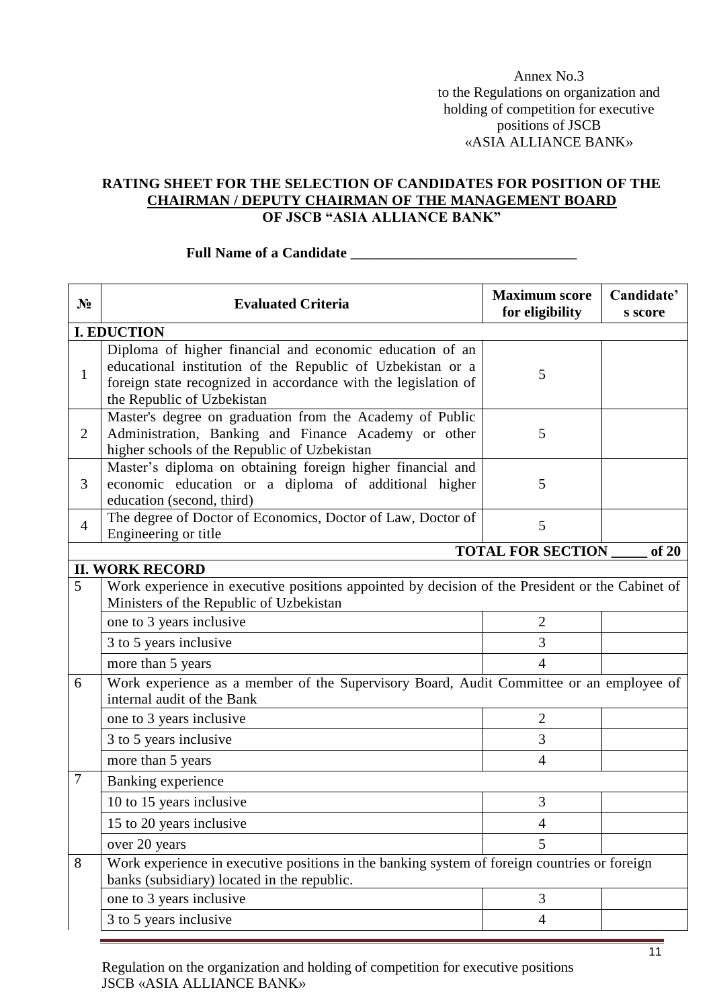Annex No.3 to the Regulations on organization and holding of competition for executive positions of JSCB «ASIA ALLIANCE BANK»

#### **RATING SHEET FOR THE SELECTION OF CANDIDATES FOR POSITION OF THE CHAIRMAN / DEPUTY CHAIRMAN OF THE MANAGEMENT BOARD OF JSCB "ASIA ALLIANCE BANK"**

| $N_2$          | <b>Evaluated Criteria</b>                                                                                                                                                                                              | <b>Maximum score</b><br>for eligibility | Candidate'<br>s score |  |
|----------------|------------------------------------------------------------------------------------------------------------------------------------------------------------------------------------------------------------------------|-----------------------------------------|-----------------------|--|
|                | <b>I. EDUCTION</b>                                                                                                                                                                                                     |                                         |                       |  |
| 1              | Diploma of higher financial and economic education of an<br>educational institution of the Republic of Uzbekistan or a<br>foreign state recognized in accordance with the legislation of<br>the Republic of Uzbekistan | 5                                       |                       |  |
| $\overline{2}$ | Master's degree on graduation from the Academy of Public<br>Administration, Banking and Finance Academy or other<br>higher schools of the Republic of Uzbekistan                                                       | 5                                       |                       |  |
| 3              | Master's diploma on obtaining foreign higher financial and<br>economic education or a diploma of additional higher<br>education (second, third)                                                                        | 5                                       |                       |  |
| $\overline{4}$ | The degree of Doctor of Economics, Doctor of Law, Doctor of<br>Engineering or title                                                                                                                                    | 5                                       |                       |  |
|                | <b>TOTAL FOR SECTION</b><br>of 20                                                                                                                                                                                      |                                         |                       |  |
|                | <b>II. WORK RECORD</b>                                                                                                                                                                                                 |                                         |                       |  |
| 5              | Work experience in executive positions appointed by decision of the President or the Cabinet of<br>Ministers of the Republic of Uzbekistan                                                                             |                                         |                       |  |
|                | one to 3 years inclusive                                                                                                                                                                                               | $\overline{2}$                          |                       |  |
|                | 3 to 5 years inclusive                                                                                                                                                                                                 | 3                                       |                       |  |
|                | more than 5 years                                                                                                                                                                                                      | $\overline{4}$                          |                       |  |
| 6              | Work experience as a member of the Supervisory Board, Audit Committee or an employee of<br>internal audit of the Bank                                                                                                  |                                         |                       |  |
|                | one to 3 years inclusive                                                                                                                                                                                               | $\overline{2}$                          |                       |  |
|                | 3 to 5 years inclusive                                                                                                                                                                                                 | 3                                       |                       |  |
|                | more than 5 years                                                                                                                                                                                                      | $\overline{4}$                          |                       |  |
| 7              | Banking experience                                                                                                                                                                                                     |                                         |                       |  |
|                | 10 to 15 years inclusive                                                                                                                                                                                               | 3                                       |                       |  |
|                | 15 to 20 years inclusive                                                                                                                                                                                               | 4                                       |                       |  |
|                | over 20 years                                                                                                                                                                                                          | 5 <sup>5</sup>                          |                       |  |
| 8              | Work experience in executive positions in the banking system of foreign countries or foreign<br>banks (subsidiary) located in the republic.                                                                            |                                         |                       |  |
|                | one to 3 years inclusive                                                                                                                                                                                               | 3                                       |                       |  |
|                | 3 to 5 years inclusive                                                                                                                                                                                                 | $\overline{4}$                          |                       |  |

#### **Full Name of a Candidate \_\_\_\_\_\_\_\_\_\_\_\_\_\_\_\_\_\_\_\_\_\_\_\_\_\_\_\_\_\_\_**

Regulation on the organization and holding of competition for executive positions JSCB «ASIA ALLIANCE BANK»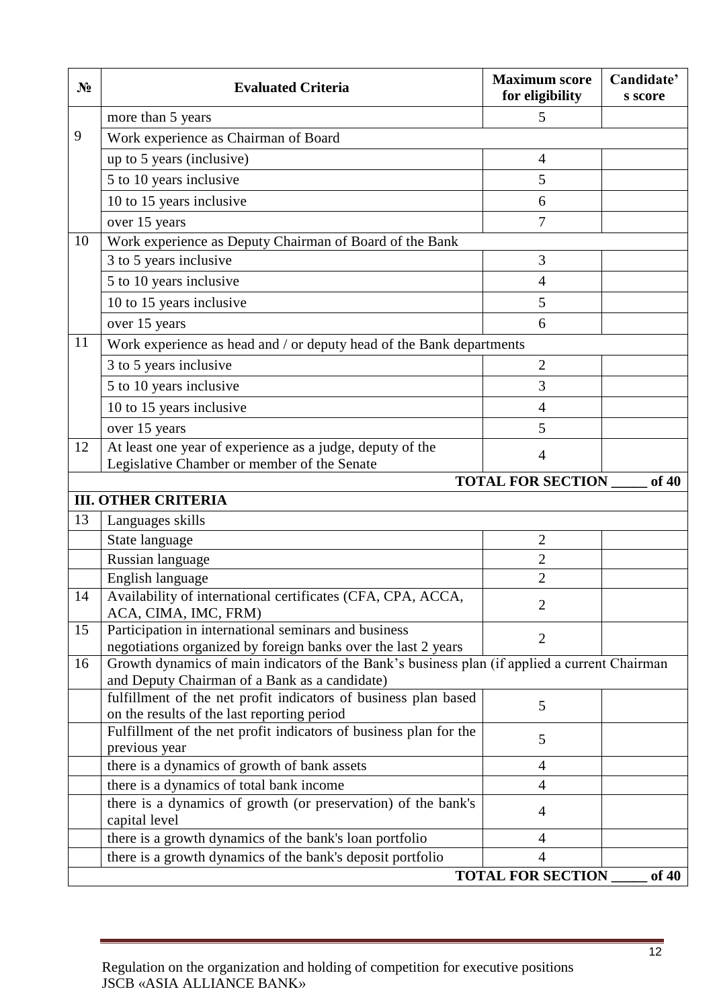| $N_2$ | <b>Evaluated Criteria</b>                                                                                        | <b>Maximum score</b><br>for eligibility | Candidate'<br>s score |
|-------|------------------------------------------------------------------------------------------------------------------|-----------------------------------------|-----------------------|
|       | more than 5 years                                                                                                | 5                                       |                       |
| 9     | Work experience as Chairman of Board                                                                             |                                         |                       |
|       | up to 5 years (inclusive)                                                                                        | $\overline{4}$                          |                       |
|       | 5 to 10 years inclusive                                                                                          | 5                                       |                       |
|       | 10 to 15 years inclusive                                                                                         | 6                                       |                       |
|       | over 15 years                                                                                                    | $\overline{7}$                          |                       |
| 10    | Work experience as Deputy Chairman of Board of the Bank                                                          |                                         |                       |
|       | 3 to 5 years inclusive                                                                                           | 3                                       |                       |
|       | 5 to 10 years inclusive                                                                                          | $\overline{4}$                          |                       |
|       | 10 to 15 years inclusive                                                                                         | 5                                       |                       |
|       | over 15 years                                                                                                    | 6                                       |                       |
| 11    | Work experience as head and / or deputy head of the Bank departments                                             |                                         |                       |
|       | 3 to 5 years inclusive                                                                                           | $\overline{2}$                          |                       |
|       | 5 to 10 years inclusive                                                                                          | 3                                       |                       |
|       | 10 to 15 years inclusive                                                                                         | 4                                       |                       |
|       | over 15 years                                                                                                    | 5                                       |                       |
| 12    | At least one year of experience as a judge, deputy of the                                                        |                                         |                       |
|       | Legislative Chamber or member of the Senate                                                                      | $\overline{4}$                          |                       |
|       |                                                                                                                  | <b>TOTAL FOR SECTION</b>                | of 40                 |
|       | <b>III. OTHER CRITERIA</b>                                                                                       |                                         |                       |
| 13    | Languages skills                                                                                                 |                                         |                       |
|       | State language                                                                                                   | $\mathbf{2}$                            |                       |
|       | Russian language                                                                                                 | $\overline{2}$                          |                       |
| 14    | English language<br>Availability of international certificates (CFA, CPA, ACCA,                                  | $\overline{2}$                          |                       |
|       | ACA, CIMA, IMC, FRM)                                                                                             | $\overline{2}$                          |                       |
| 15    | Participation in international seminars and business                                                             | $\overline{2}$                          |                       |
|       | negotiations organized by foreign banks over the last 2 years                                                    |                                         |                       |
| 16    | Growth dynamics of main indicators of the Bank's business plan (if applied a current Chairman                    |                                         |                       |
|       | and Deputy Chairman of a Bank as a candidate)<br>fulfillment of the net profit indicators of business plan based |                                         |                       |
|       | on the results of the last reporting period                                                                      | 5                                       |                       |
|       | Fulfillment of the net profit indicators of business plan for the                                                | 5                                       |                       |
|       | previous year                                                                                                    |                                         |                       |
|       | there is a dynamics of growth of bank assets                                                                     | 4                                       |                       |
|       | there is a dynamics of total bank income                                                                         | $\overline{4}$                          |                       |
|       | there is a dynamics of growth (or preservation) of the bank's<br>capital level                                   | 4                                       |                       |
|       | there is a growth dynamics of the bank's loan portfolio                                                          | $\overline{4}$                          |                       |
|       | there is a growth dynamics of the bank's deposit portfolio                                                       | $\overline{4}$                          |                       |
|       | <b>TOTAL FOR SECTION</b><br>of 40                                                                                |                                         |                       |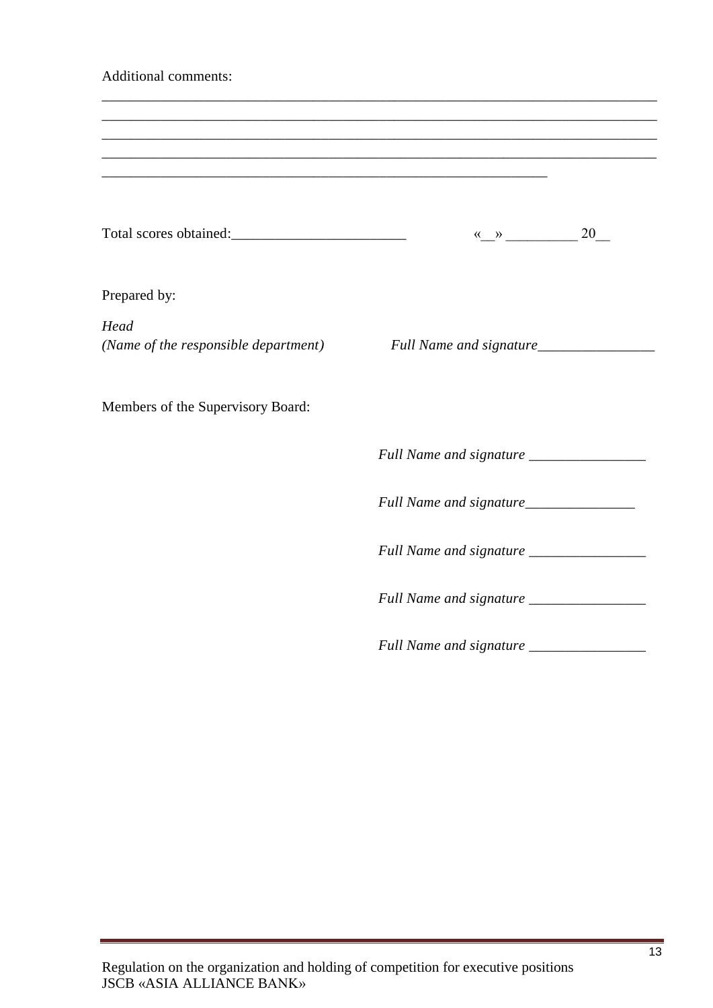| <b>Additional comments:</b>                  |                                                                                                                       |  |
|----------------------------------------------|-----------------------------------------------------------------------------------------------------------------------|--|
|                                              | <u> 1989 - Johann Stoff, deutscher Stoff, der Stoff, der Stoff, der Stoff, der Stoff, der Stoff, der Stoff, der S</u> |  |
|                                              | $\leftarrow \rightarrow$ 20                                                                                           |  |
| Prepared by:                                 |                                                                                                                       |  |
| Head<br>(Name of the responsible department) | Full Name and signature_______________                                                                                |  |
| Members of the Supervisory Board:            |                                                                                                                       |  |
|                                              |                                                                                                                       |  |
|                                              |                                                                                                                       |  |
|                                              |                                                                                                                       |  |
|                                              | Full Name and signature ________________                                                                              |  |
|                                              | Full Name and signature __________________                                                                            |  |